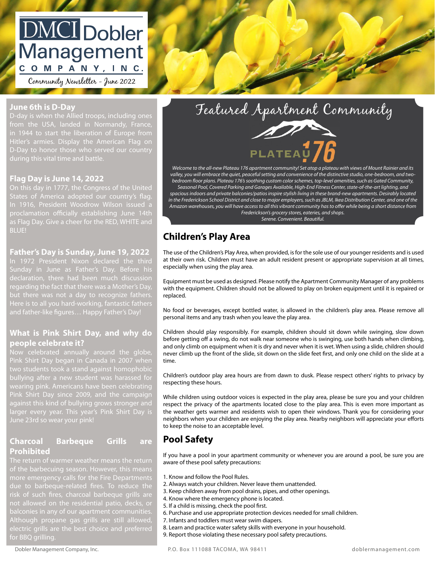# **DMCI** Dobler Management COMPANY, INC.

Community Newsletter - June 2022

# **June 6th is D-Day**

from the USA, landed in Normandy, France,  $\nu$ -Day to nonor those who served our country (name) (unit number) (unit number) (unit number) (unit number) (unit number) (unit number) (unit number) (unit Hitler's armies. Display the American Flag on D-day is when the Allied troops, including ones D-Day to honor those who served our country

# **Property Contains Line 14, 2022 Container the Contract Order of the Contract Order of the Contract Order of the Contract Order of the Contract Order of the Contract Order of the Contract Order of the Contract Order of t**

In 1916, President Woodrow Wilson issued a **Fairman Fairness** Housing Guide. On this day in 1777, the Congress of the United States of America adopted our country's flag. proclamation officially establishing June 14th as Flag Day. Give a cheer for the RED, WHITE and BLUE!

### **Father's Day is Sunday, June 19, 2022**

In 1972 President Nixon declared the third returnation, there that been mach discussion but there was not a day to recognize fathers. Here is to all you hard-working, fantastic fathers and father-like figures… Happy Father's Day!

## **What is Pink Shirt Day, and why do people celebrate it?**

**Now celebrated annually around the globe**, Pink Shirt Day began in Canada in 2007 when two students took a stand against homophobic bullying after a new student was harassed for wearing pink. Americans have been celebrating Pink Shirt Day since 2009, and the campaign against this kind of bullying grows stronger and

# **Charcoal Barbeque Grills are Prohibited**

more emergency calls for the Fire Departments balconies in any of our apartment communities. Although propane gas grills are still allowed, for BBQ grilling.



*Welcome to the all-new Plateau 176 apartment community! Set atop a plateau with views of Mount Rainier and its valley, you will embrace the quiet, peaceful setting and convenience of the distinctive studio, one-bedroom, and twobedroom floor plans. Plateau 176's soothing custom color schemes, top-level amenities, such as Gated Community, Seasonal Pool, Covered Parking and Garages Available, High-End Fitness Center, state-of-the-art lighting, and spacious indoors and private balconies/patios inspire stylish living in these brand-new apartments. Desirably located in the Frederickson School District and close to major employers, such as JBLM, Ikea Distribution Center, and one of the Amazon warehouses, you will have access to all this vibrant community has to offer while being a short distance from Frederickson's grocery stores, eateries, and shops. Serene. Convenient. Beautiful.*

# **Signature: Alternature: Line and Schildren's Play Area**

The use of the Children's Play Area, when provided, is for the sole use of our younger residents and is used at their own risk. Children must have an adult resident present or appropriate supervision at all times, especially when using the play area.

Equipment must be used as designed. Please notify the Apartment Community Manager of any problems with the equipment. Children should not be allowed to play on broken equipment until it is repaired or replaced.

No food or beverages, except bottled water, is allowed in the children's play area. Please remove all personal items and any trash when you leave the play area.

Children should play responsibly. For example, children should sit down while swinging, slow down before getting off a swing, do not walk near someone who is swinging, use both hands when climbing, and only climb on equipment when it is dry and never when it is wet. When using a slide, children should never climb up the front of the slide, sit down on the slide feet first, and only one child on the slide at a time.

Children's outdoor play area hours are from dawn to dusk. Please respect others' rights to privacy by respecting these hours.

While children using outdoor voices is expected in the play area, please be sure you and your children respect the privacy of the apartments located close to the play area. This is even more important as the weather gets warmer and residents wish to open their windows. Thank you for considering your neighbors when your children are enjoying the play area. Nearby neighbors will appreciate your efforts to keep the noise to an acceptable level.

# **Pool Safety**

If you have a pool in your apartment community or whenever you are around a pool, be sure you are aware of these pool safety precautions:

- 1. Know and follow the Pool Rules.
- 2. Always watch your children. Never leave them unattended.
- 3. Keep children away from pool drains, pipes, and other openings.
	- 4. Know where the emergency phone is located.
	- 5. If a child is missing, check the pool first.
- 6. Purchase and use appropriate protection devices needed for small children.
- 7. Infants and toddlers must wear swim diapers.
- 8. Learn and practice water safety skills with everyone in your household.
- 9. Report those violating these necessary pool safety precautions.